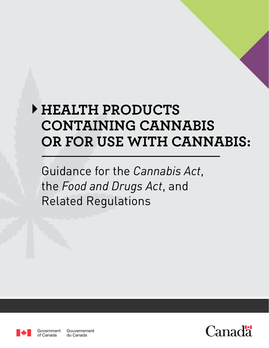# **HEALTH PRODUCTS CONTAINING CANNABIS OR FOR USE WITH CANNABIS:**

Guidance for the *Cannabis Act*, the *Food and Drugs Act*, and Related Regulations



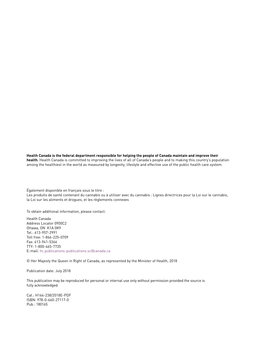#### **Health Canada is the federal department responsible for helping the people of Canada maintain and improve their**

**health.** Health Canada is committed to improving the lives of all of Canada's people and to making this country's population among the healthiest in the world as measured by longevity, lifestyle and effective use of the public health care system.

Également disponible en français sous le titre :

Les produits de santé contenant du cannabis ou à utiliser avec du cannabis : Lignes directrices pour la Loi sur le cannabis, la Loi sur les aliments et drogues, et les règlements connexes

To obtain additional information, please contact:

Health Canada Address Locator 0900C2 Ottawa, ON K1A 0K9 Tel.: 613-957-2991 Toll free: 1-866-225-0709 Fax: 613-941-5366 TTY: 1-800-465-7735 E-mail: [hc.publications-publications.sc@canada.ca](mailto:hc.publications-publications.sc%40canada.ca?subject=)

© Her Majesty the Queen in Right of Canada, as represented by the Minister of Health, 2018

Publication date: July 2018

This publication may be reproduced for personal or internal use only without permission provided the source is fully acknowledged.

Cat.: H164-238/2018E-PDF ISBN: 978-0-660-27117-0 Pub.: 180165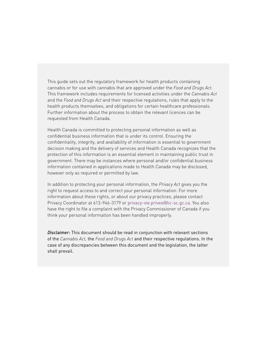This guide sets out the regulatory framework for health products containing cannabis or for use with cannabis that are approved under the *Food and Drugs Act*. This framework includes requirements for licensed activities under the *Cannabis Act* and the *Food and Drugs Act* and their respective regulations, rules that apply to the health products themselves, and obligations for certain healthcare professionals. Further information about the process to obtain the relevant licences can be requested from Health Canada.

Health Canada is committed to protecting personal information as well as confidential business information that is under its control. Ensuring the confidentiality, integrity, and availability of information is essential to government decision making and the delivery of services and Health Canada recognizes that the protection of this information is an essential element in maintaining public trust in government. There may be instances where personal and/or confidential business information contained in applications made to Health Canada may be disclosed, however only as required or permitted by law.

In addition to protecting your personal information, the *Privacy Act* gives you the right to request access to and correct your personal information. For more information about these rights, or about our privacy practices, please contact Privacy Coordinator at 613-946-3179 or [privacy-vie.privee@hc-sc.gc.ca](mailto:privacy-vie.privee%40hc-sc.gc.ca?subject=). You also have the right to file a complaint with the Privacy Commissioner of Canada if you think your personal information has been handled improperly.

*Disclaimer:* This document should be read in conjunction with relevant sections of the *Cannabis Act,* the *Food and Drugs Act* and their respective regulations. In the case of any discrepancies between this document and the legislation, the latter shall prevail.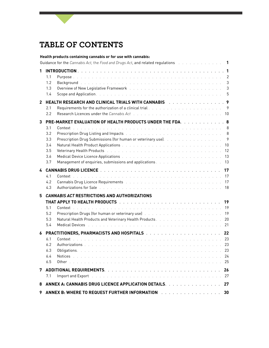# **TABLE OF CONTENTS**

|                                                                                                        | Health products containing cannabis or for use with cannabis:                                                                                                                                                                                                                                                                                                                                                                                                                                                                                                                                                                                                                          |                           |  |  |
|--------------------------------------------------------------------------------------------------------|----------------------------------------------------------------------------------------------------------------------------------------------------------------------------------------------------------------------------------------------------------------------------------------------------------------------------------------------------------------------------------------------------------------------------------------------------------------------------------------------------------------------------------------------------------------------------------------------------------------------------------------------------------------------------------------|---------------------------|--|--|
| Guidance for the Cannabis Act, the Food and Drugs Act, and related regulations and a summan same set 1 |                                                                                                                                                                                                                                                                                                                                                                                                                                                                                                                                                                                                                                                                                        |                           |  |  |
| 1.                                                                                                     | 1.1<br>1.2<br>1.3<br>Scope and Application. The contract of the contract of the contract of the contract of the contract of the contract of the contract of the contract of the contract of the contract of the contract of the contract of the con<br>1.4                                                                                                                                                                                                                                                                                                                                                                                                                             | 2<br>$\sqrt{3}$<br>3      |  |  |
| $\mathbf{2}$                                                                                           | <b>HEALTH RESEARCH AND CLINICAL TRIALS WITH CANNABIS And Algebra Linical Contract Property</b><br>2.1<br>Research Licences under the Cannabis Act (and a subset of a sensing of a set of a set of a set of a<br>2.2                                                                                                                                                                                                                                                                                                                                                                                                                                                                    | 10                        |  |  |
| 3                                                                                                      | PRE-MARKET EVALUATION OF HEALTH PRODUCTS UNDER THE FDA. 8<br>3.1<br>Prescription Drug Listing and Impacts (All Albert Albert Albert Albert Albert Albert Albert Albert Albert Albert Albert Albert Albert Albert Albert Albert Albert Albert Albert Albert Albert Albert Albert Albert Albert Albe<br>3.2<br>Prescription Drug Submissions (for human or veterinary use). The substitution of the state of the<br>3.3<br>3.4<br>Veterinary Health Products (Alberta Alberta Alberta Alberta Alberta Alberta Alberta Alberta Alberta Alberta Alb<br>3.5<br>Medical Device Licence Applications with a subset of the subset of the set of the set of the set of the set of<br>3.6<br>3.7 | 9<br>10<br>12<br>13<br>13 |  |  |
| 4                                                                                                      | 4.1<br>4.2<br>Cannabis Drug Licence Requirements (Fig. 1991) (1991) (Fig. 1991) (Fig. 1991) (Fig. 1991) (Fig. 1991)<br>Authorizations for Sale (Both Louis Louis Louis Louis Louis Louis Louis Louis Louis Louis 18<br>4.3                                                                                                                                                                                                                                                                                                                                                                                                                                                             | 17<br>17                  |  |  |
| 5.                                                                                                     | <b>CANNABIS ACT RESTRICTIONS AND AUTHORIZATIONS</b><br>5.1<br>Prescription Drugs (for human or veterinary use) Albert Albert Albert Albert Albert Albert Albert Albert Alber<br>5.2<br>5.3<br>5.4<br>Medical Devices (Fig. 1996) and the contract of the contract of the contract of the contract of the contract of the contract of the contract of the contract of the contract of the contract of the contract of the contract o                                                                                                                                                                                                                                                    | 19<br>20                  |  |  |
| 6                                                                                                      | 6.1<br>6.2<br>6.3<br>6.4<br>6.5                                                                                                                                                                                                                                                                                                                                                                                                                                                                                                                                                                                                                                                        | 23<br>24<br>25            |  |  |
| 7                                                                                                      | 7.1                                                                                                                                                                                                                                                                                                                                                                                                                                                                                                                                                                                                                                                                                    | 26<br>27                  |  |  |
| 8                                                                                                      | ANNEX A: CANNABIS DRUG LICENCE APPLICATION DETAILS.                                                                                                                                                                                                                                                                                                                                                                                                                                                                                                                                                                                                                                    | 27                        |  |  |
| 9                                                                                                      | ANNEX B: WHERE TO REQUEST FURTHER INFORMATION And an array and array and array and array and array and the ANNEX BIOROLL AND ANNEX BEING AND AN ANNUAL ARRAY AND A LOST AND A LOST AND A LOST AND A LOST AND A LOST AND A LOST                                                                                                                                                                                                                                                                                                                                                                                                                                                         | 30                        |  |  |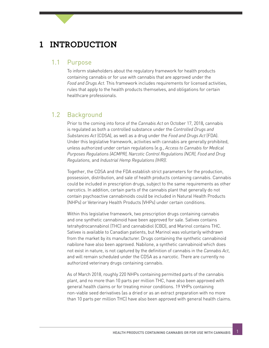# **1 INTRODUCTION**

#### 1.1 Purpose

To inform stakeholders about the regulatory framework for health products containing cannabis or for use with cannabis that are approved under the *Food and Drugs Act.* This framework includes requirements for licensed activities, rules that apply to the health products themselves, and obligations for certain healthcare professionals.

### 1.2 Background

Prior to the coming into force of the *Cannabis Act* on October 17, 2018*,* cannabis is regulated as both a controlled substance under the *Controlled Drugs and Substances Act* (CDSA), as well as a drug under the *Food and Drugs Act* (FDA). Under this legislative framework, activities with cannabis are generally prohibited, unless authorized under certain regulations (e.g., *Access to Cannabis for Medical Purposes Regulations (ACMPR), Narcotic Control Regulations (NCR), Food and Drug Regulations,* and *Industrial Hemp Regulations (IHR))*.

Together, the CDSA and the FDA establish strict parameters for the production, possession, distribution, and sale of health products containing cannabis. Cannabis could be included in prescription drugs, subject to the same requirements as other narcotics. In addition, certain parts of the cannabis plant that generally do not contain psychoactive cannabinoids could be included in Natural Health Products (NHPs) or Veterinary Health Products (VHPs) under certain conditions.

Within this legislative framework, two prescription drugs containing cannabis and one synthetic cannabinoid have been approved for sale. Sativex contains tetrahydrocannabinol (THC) and cannabidiol (CBD), and Marinol contains THC. Sativex is available to Canadian patients, but Marinol was voluntarily withdrawn from the market by its manufacturer. Drugs containing the synthetic cannabinoid nabilone have also been approved. Nabilone, a synthetic cannabinoid which does not exist in nature, is not captured by the definition of cannabis in the *Cannabis Act*, and will remain scheduled under the CDSA as a narcotic. There are currently no authorized veterinary drugs containing cannabis.

As of March 2018, roughly 220 NHPs containing permitted parts of the cannabis plant, and no more than 10 parts per million THC, have also been approved with general health claims or for treating minor conditions. 19 VHPs containing non-viable seed derivatives (as a dried or as an extract preparation with no more than 10 parts per million THC) have also been approved with general health claims.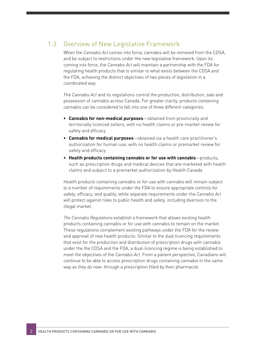### 1.3 Overview of New Legislative Framework

When the *Cannabis Act* comes into force*,* cannabis will be removed from the CDSA, and be subject to restrictions under the new legislative framework. Upon its coming into force, the *Cannabis Act* will maintain a partnership with the FDA for regulating health products that is similar to what exists between the CDSA and the FDA, achieving the distinct objectives of two pieces of legislation in a coordinated way.

The *Cannabis Act* and its regulations control the production, distribution, sale and possession of cannabis across Canada. For greater clarity, products containing cannabis can be considered to fall into one of three different categories:

- **• Cannabis for non-medical purposes**—obtained from provincially and territorially licenced sellers, with no health claims or pre-market review for safety and efficacy
- **• Cannabis for medical purposes**—obtained via a health care practitioner's authorization for human use, with no health claims or premarket review for safety and efficacy
- **• Health products containing cannabis or for use with cannabis**—products, such as prescription drugs and medical devices that are marketed with health claims and subject to a premarket authorization by Health Canada

Health products containing cannabis or for use with cannabis will remain subject to a number of requirements under the FDA to ensure appropriate controls for safety, efficacy, and quality, while separate requirements under the *Cannabis Act*  will protect against risks to public health and safety, including diversion to the illegal market.

*The Cannabis Regulations* establish a framework that allows existing health products containing cannabis or for use with cannabis to remain on the market. These regulations complement existing pathways under the FDA for the review and approval of new health products. Similar to the dual licencing requirements that exist for the production and distribution of prescription drugs with cannabis under the the CDSA and the FDA, a dual-licencing regime is being established to meet the objectives of the *Cannabis Act*. From a patient perspective, Canadians will continue to be able to access prescription drugs containing cannabis in the same way as they do now: through a prescription filled by their pharmacist.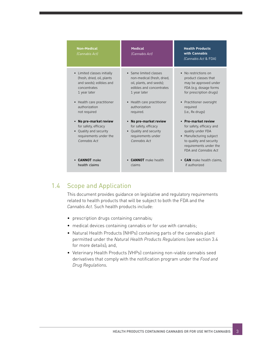| <b>Non-Medical</b><br>(Cannabis Act)                                                                                          | <b>Medical</b><br>(Cannabis Act)                                                                                        | <b>Health Products</b><br>with Cannabis<br>(Cannabis Act & FDA)                                                                                                            |
|-------------------------------------------------------------------------------------------------------------------------------|-------------------------------------------------------------------------------------------------------------------------|----------------------------------------------------------------------------------------------------------------------------------------------------------------------------|
| • Limited classes initially                                                                                                   | • Same limited classes                                                                                                  | • No restrictions on                                                                                                                                                       |
| (fresh, dried, oil, plants                                                                                                    | non-medical (fresh, dried,                                                                                              | product classes that                                                                                                                                                       |
| and seeds); edibles and                                                                                                       | oil, plants, and seeds);                                                                                                | may be approved under                                                                                                                                                      |
| concentrates                                                                                                                  | edibles and concentrates                                                                                                | FDA (e.g. dosage forms                                                                                                                                                     |
| 1 year later                                                                                                                  | 1 year later                                                                                                            | for prescription drugs)                                                                                                                                                    |
| • Health care practitioner                                                                                                    | • Health care practitioner                                                                                              | • Practitioner oversight                                                                                                                                                   |
| authorization                                                                                                                 | authorization                                                                                                           | required                                                                                                                                                                   |
| not required                                                                                                                  | required.                                                                                                               | (i.e., Rx drugs)                                                                                                                                                           |
| No pre-market review<br>$\bullet$<br>for safety, efficacy<br>• Quality and security<br>requirements under the<br>Cannabis Act | No pre-market review<br>for safety, efficacy<br>Quality and security<br>$\bullet$<br>requirements under<br>Cannabis Act | • Pre-market review<br>for safety, efficacy and<br>quality under FDA<br>Manufacturing subject<br>to quality and security<br>requirements under the<br>FDA and Cannabis Act |
| <b>CANNOT</b> make                                                                                                            | <b>CANNOT</b> make health                                                                                               | • CAN make health claims.                                                                                                                                                  |
| health claims                                                                                                                 | claims                                                                                                                  | if authorized                                                                                                                                                              |

### 1.4 Scope and Application

This document provides guidance on legislative and regulatory requirements related to health products that will be subject to both the FDA and the *Cannabis Act*. Such health products include:

- prescription drugs containing cannabis*;*
- medical devices containing cannabis or for use with cannabis;
- Natural Health Products (NHPs) containing parts of the cannabis plant permitted under the *Natural Health Products Regulations* (see section 3.4 for more details)*;* and,
- Veterinary Health Products (VHPs) containing non-viable cannabis seed derivatives that comply with the notification program under the *Food and Drug Regulations.*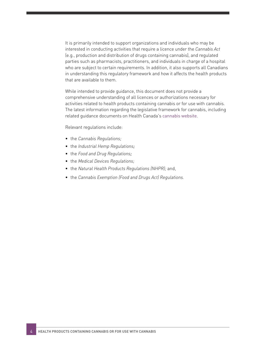It is primarily intended to support organizations and individuals who may be interested in conducting activities that require a licence under the *Cannabis Act* (e.g., production and distribution of drugs containing cannabis), and regulated parties such as pharmacists, practitioners, and individuals in charge of a hospital who are subject to certain requirements. In addition, it also supports all Canadians in understanding this regulatory framework and how it affects the health products that are available to them.

While intended to provide guidance, this document does not provide a comprehensive understanding of all licences or authorizations necessary for activities related to health products containing cannabis or for use with cannabis. The latest information regarding the legislative framework for cannabis, including related guidance documents on Health Canada's [cannabis website](https://www.canada.ca/cannabis).

Relevant regulations include:

- the *Cannabis Regulations;*
- the *Industrial Hemp Regulations;*
- the *Food and Drug Regulations;*
- the *Medical Devices Regulations;*
- the *Natural Health Products Regulations (NHPR);* and,
- the *Cannabis Exemption (Food and Drugs Act) Regulations.*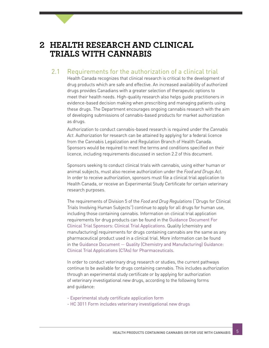# <span id="page-8-0"></span>**2 HEALTH RESEARCH AND CLINICAL TRIALS WITH CANNABIS**

### 2.1 Requirements for the authorization of a clinical trial

Health Canada recognizes that clinical research is critical to the development of drug products which are safe and effective. An increased availability of authorized drugs provides Canadians with a greater selection of therapeutic options to meet their health needs. High-quality research also helps guide practitioners in evidence-based decision making when prescribing and managing patients using these drugs. The Department encourages ongoing cannabis research with the aim of developing submissions of cannabis-based products for market authorization as drugs.

Authorization to conduct cannabis-based research is required under the *Cannabis Act*. Authorization for research can be attained by applying for a federal licence from the Cannabis Legalization and Regulation Branch of Health Canada. Sponsors would be required to meet the terms and conditions specified on their licence, including requirements discussed in section 2.2 of this document.

Sponsors seeking to conduct clinical trials with cannabis, using either human or animal subjects, must also receive authorization under the *Food and Drugs Act*. In order to receive authorization, sponsors must file a clinical trial application to Health Canada, or receive an Experimental Study Certificate for certain veterinary research purposes.

The requirements of Division 5 of the *Food and Drug Regulations* ("Drugs for Clinical Trials Involving Human Subjects") continue to apply for all drugs for human use, including those containing cannabis. Information on clinical trial application requirements for drug products can be found in the [Guidance Document For](https://www.canada.ca/en/health-canada/services/drugs-health-products/drug-products/applications-submissions/guidance-documents/clinical-trials/clinical-trial-sponsors-applications.html)  [Clinical Trial Sponsors: Clinical Trial Applications](https://www.canada.ca/en/health-canada/services/drugs-health-products/drug-products/applications-submissions/guidance-documents/clinical-trials/clinical-trial-sponsors-applications.html). Quality (chemistry and manufacturing) requirements for drugs containing cannabis are the same as any pharmaceutical product used in a clinical trial. More information can be found in the Guidance Document — [Quality \(Chemistry and Manufacturing\) Guidance:](https://www.canada.ca/en/health-canada/services/drugs-health-products/drug-products/applications-submissions/guidance-documents/clinical-trials/quality-chemistry-manufacturing-guidance-clinical-trial-applications-pharmaceuticals.html)  [Clinical Trial Applications \(CTAs\) for Pharmaceuticals](https://www.canada.ca/en/health-canada/services/drugs-health-products/drug-products/applications-submissions/guidance-documents/clinical-trials/quality-chemistry-manufacturing-guidance-clinical-trial-applications-pharmaceuticals.html).

In order to conduct veterinary drug research or studies, the current pathways continue to be available for drugs containing cannabis. This includes authorization through an experimental study certificate or by applying for authorization of veterinary investigational new drugs, according to the following forms and guidance:

- [Experimental study certificate application form](https://www.canada.ca/content/dam/hc-sc/documents/services/drugs-health-products/applications-submissions/experimental-studies-certificate-application-form-for-a-veterinary-drug.pdf)
- [HC 3011 Form includes veterinary investigational new drugs](https://www.canada.ca/content/dam/hc-sc/migration/hc-sc/dhp-mps/alt_formats/pdf/prodpharma/applic-demande/form/hc3011_sc3011-eng.pdf)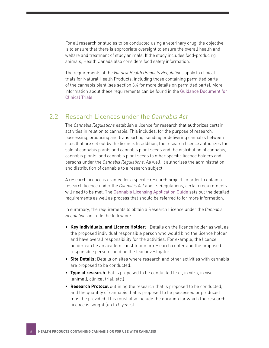For all research or studies to be conducted using a veterinary drug, the objective is to ensure that there is appropriate oversight to ensure the overall health and welfare and treatment of study animals. If the study includes food-producing animals, Health Canada also considers food safety information.

The requirements of the *Natural Health Products Regulations* apply to clinical trials for Natural Health Products, including those containing permitted parts of the cannabis plant (see section 3.4 for more details on permitted parts). More information about these requirements can be found in the [Guidance Document for](https://www.canada.ca/en/health-canada/services/drugs-health-products/natural-non-prescription/legislation-guidelines/guidance-documents/clinical-trials.html)  [Clinical Trials](https://www.canada.ca/en/health-canada/services/drugs-health-products/natural-non-prescription/legislation-guidelines/guidance-documents/clinical-trials.html).

#### 2.2 Research Licences under the *Cannabis Act*

The *Cannabis Regulations* establish a licence for research that authorizes certain activities in relation to cannabis. This includes, for the purpose of research, possessing, producing and transporting, sending or delivering cannabis between sites that are set out by the licence. In addition, the research licence authorizes the sale of cannabis plants and cannabis plant seeds and the distribution of cannabis, cannabis plants, and cannabis plant seeds to other specific licence holders and persons under the *Cannabis Regulations*. As well, it authorizes the administration and distribution of cannabis to a research subject.

A research licence is granted for a specific research project. In order to obtain a research licence under the *Cannabis Act* and its Regulations, certain requirements will need to be met. The [Cannabis Licensing Application Guide](https://www.canada.ca/en/health-canada/services/publications/drugs-health-products/cannabis-licensing-guide.html) sets out the detailed requirements as well as process that should be referred to for more information.

In summary, the requirements to obtain a Research Licence under the *Cannabis Regulations* include the following:

- **• Key Individuals, and Licence Holder:** Details on the licence holder as well as the proposed individual responsible person who would bind the licence holder and have overall responsibility for the activities. For example, the licence holder can be an academic institution or research center and the proposed responsible person could be the lead investigator.
- **• Site Details:** Details on sites where research and other activities with cannabis are proposed to be conducted.
- **• Type of research** that is proposed to be conducted (e.g., in vitro, in vivo (animal), clinical trial, etc.)
- **• Research Protocol** outlining the research that is proposed to be conducted, and the quantity of cannabis that is proposed to be possessed or produced must be provided. This must also include the duration for which the research licence is sought (up to 5 years).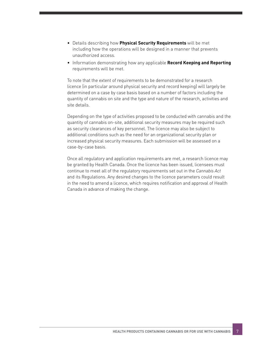- Details describing how **Physical Security Requirements** will be met including how the operations will be designed in a manner that prevents unauthorized access.
- Information demonstrating how any applicable **Record Keeping and Reporting**  requirements will be met.

To note that the extent of requirements to be demonstrated for a research licence (in particular around physical security and record keeping) will largely be determined on a case by case basis based on a number of factors including the quantity of cannabis on site and the type and nature of the research, activities and site details.

Depending on the type of activities proposed to be conducted with cannabis and the quantity of cannabis on-site, additional security measures may be required such as security clearances of key personnel. The licence may also be subject to additional conditions such as the need for an organizational security plan or increased physical security measures. Each submission will be assessed on a case-by-case basis.

Once all regulatory and application requirements are met, a research licence may be granted by Health Canada. Once the licence has been issued, licensees must continue to meet all of the regulatory requirements set out in the *Cannabis Act* and its Regulations. Any desired changes to the licence parameters could result in the need to amend a licence, which requires notification and approval of Health Canada in advance of making the change.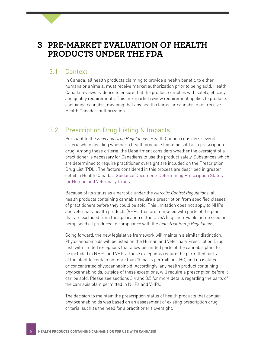### **3 PRE-MARKET EVALUATION OF HEALTH PRODUCTS UNDER THE FDA**

#### 3.1 Context

In Canada, all health products claiming to provide a health benefit, to either humans or animals, must receive market authorization prior to being sold. Health Canada reviews evidence to ensure that the product complies with safety, efficacy, and quality requirements. This pre-market review requirement applies to products containing cannabis, meaning that any health claims for cannabis must receive Health Canada's authorization.

### 3.2 Prescription Drug Listing & Impacts

Pursuant to the *Food and Drug Regulations*, Health Canada considers several criteria when deciding whether a health product should be sold as a prescription drug. Among these criteria, the Department considers whether the oversight of a practitioner is necessary for Canadians to use the product safely. Substances which are determined to require practitioner oversight are included on the Prescription Drug List (PDL). The factors considered in this process are described in greater detail in Health Canada'*s* [Guidance Document: Determining Prescription Status](https://www.canada.ca/en/health-canada/services/drugs-health-products/drug-products/prescription-drug-list/guidance-document.html)  [for Human and Veterinary Drugs](https://www.canada.ca/en/health-canada/services/drugs-health-products/drug-products/prescription-drug-list/guidance-document.html).

Because of its status as a narcotic under the *Narcotic Control Regulations*, all health products containing cannabis require a prescription from specified classes of practitioners before they could be sold. This limitation does not apply to NHPs and veterinary health products (VHPs) that are marketed with parts of the plant that are excluded from the application of the CDSA (e.g., non-viable hemp seed or hemp seed oil produced in compliance with the *Industrial Hemp Regulations*).

Going forward, the new legislative framework will maintain a similar distinction. Phytocannabinoids will be listed on the Human and Veterinary Prescription Drug List, with limited exceptions that allow permitted parts of the cannabis plant to be included in NHPs and VHPs. These exceptions require the permitted parts of the plant to contain no more than 10 parts per million THC, and no isolated or concentrated phytocannabinoid. Accordingly, any health product containing phytocannabinoids, outside of these exceptions, will require a prescription before it can be sold. Please see sections 3.4 and 3.5 for more details regarding the parts of the cannabis plant permitted in NHPs and VHPs.

The decision to maintain the prescription status of health products that contain phytocannabinoids was based on an assessment of existing prescription drug criteria, such as the need for a practitioner's oversight.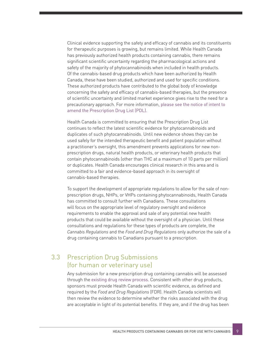Clinical evidence supporting the safety and efficacy of cannabis and its constituents for therapeutic purposes is growing, but remains limited. While Health Canada has previously authorized health products containing cannabis, there remains significant scientific uncertainty regarding the pharmacological actions and safety of the majority of phytocannabinoids when included in health products. Of the cannabis-based drug products which have been authorized by Health Canada, these have been studied, authorized and used for specific conditions. These authorized products have contributed to the global body of knowledge concerning the safety and efficacy of cannabis-based therapies, but the presence of scientific uncertainty and limited market experience gives rise to the need for a precautionary approach. For more information, [please see the notice of intent to](https://www.canada.ca/en/health-canada/services/drugs-health-products/drug-products/prescription-drug-list/notices-changes.html)  [amend the Prescription Drug List \(PDL\).](https://www.canada.ca/en/health-canada/services/drugs-health-products/drug-products/prescription-drug-list/notices-changes.html)

Health Canada is committed to ensuring that the Prescription Drug List continues to reflect the latest scientific evidence for phytocannabinoids and duplicates of such phytocannabinoids. Until new evidence shows they can be used safely for the intended therapeutic benefit and patient population without a practitioner's oversight, this amendment prevents applications for new nonprescription drugs, natural health products, or veterinary health products that contain phytocannabinoids (other than THC at a maximum of 10 parts per million) or duplicates. Health Canada encourages clinical research in this area and is committed to a fair and evidence-based approach in its oversight of cannabis-based therapies.

To support the development of appropriate regulations to allow for the sale of nonprescription drugs, NHPs, or VHPs containing phytocannabinoids, Health Canada has committed to consult further with Canadians. These consultations will focus on the appropriate level of regulatory oversight and evidence requirements to enable the approval and sale of any potential new health products that could be available without the oversight of a physician. Until these consultations and regulations for these types of products are complete, the *Cannabis Regulations* and the *Food and Drug Regulations* only authorize the sale of a drug containing cannabis to Canadians pursuant to a prescription.

### 3.3 Prescription Drug Submissions (for human or veterinary use)

Any submission for a new prescription drug containing cannabis will be assessed through the [existing drug review process](https://www.canada.ca/en/health-canada/services/drugs-health-products/drug-products/fact-sheets/drugs-reviewed-canada.html). Consistent with other drug products, sponsors must provide Health Canada with scientific evidence, as defined and required by the *Food and Drug Regulations* (FDR). Health Canada scientists will then review the evidence to determine whether the risks associated with the drug are acceptable in light of its potential benefits. If they are, and if the drug has been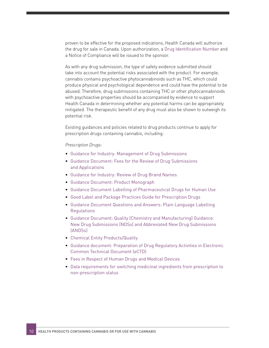proven to be effective for the proposed indications, Health Canada will authorize the drug for sale in Canada. Upon authorization, a [Drug Identification Numbe](https://www.canada.ca/en/health-canada/services/drugs-health-products/drug-products/fact-sheets/drug-identification-number.html)r and a Notice of Compliance will be issued to the sponsor.

As with any drug submission, the type of safety evidence submitted should take into account the potential risks associated with the product. For example, cannabis contains psychoactive phytocannabinoids such as THC, which could produce physical and psychological dependence and could have the potential to be abused. Therefore, drug submissions containing THC or other phytocannabinoids with psychoactive properties should be accompanied by evidence to support Health Canada in determining whether any potential harms can be appropriately mitigated. The therapeutic benefit of any drug must also be shown to outweigh its potential risk.

Existing guidances and policies related to drug products continue to apply for prescription drugs containing cannabis, including:

#### *Prescription Drugs:*

- [Guidance for Industry: Management of Drug Submissions](https://www.canada.ca/en/health-canada/services/drugs-health-products/drug-products/applications-submissions/guidance-documents/management-drug-submissions/industry.html)
- [Guidance Document: Fees for the Review of Drug Submissions](https://www.canada.ca/en/health-canada/services/drugs-health-products/drug-products/fees/fees-review-drug-submissions-applications.html)  [and Applications](https://www.canada.ca/en/health-canada/services/drugs-health-products/drug-products/fees/fees-review-drug-submissions-applications.html)
- [Guidance for Industry: Review of Drug Brand Names](https://www.canada.ca/en/health-canada/services/drugs-health-products/reports-publications/medeffect-canada/guidance-document-industry-review-drug-brand-names.html)
- [Guidance Document: Product Monograph](https://www.canada.ca/en/health-canada/services/drugs-health-products/drug-products/applications-submissions/guidance-documents/product-monograph/product-monograph.html)
- [Guidance Document Labelling of Pharmaceutical Drugs for Human Use](https://www.canada.ca/en/health-canada/services/drugs-health-products/drug-products/applications-submissions/guidance-documents/labelling-pharmaceutical-drugs-human-use-2014-guidance-document.html)
- [Good Label and Package Practices Guide for Prescription Drugs](https://www.canada.ca/en/health-canada/services/drugs-health-products/reports-publications/medeffect-canada/good-label-package-practices-guide-prescription-drugs.html)
- [Guidance Document Questions and Answers: Plain Language Labelling](https://www.canada.ca/en/health-canada/services/drugs-health-products/drug-products/applications-submissions/guidance-documents/questions-answers-plain-language-labelling-regulations.html)  [Regulations](https://www.canada.ca/en/health-canada/services/drugs-health-products/drug-products/applications-submissions/guidance-documents/questions-answers-plain-language-labelling-regulations.html)
- [Guidance Document: Quality \(Chemistry and Manufacturing\) Guidance:](https://www.canada.ca/en/health-canada/services/drugs-health-products/drug-products/applications-submissions/guidance-documents/chemical-entity-products-quality/guidance-document-quality-chemistry-manufacturing-guidance-new-drug-submissions-ndss-abbreviated-new-drug-submissions.html)  [New Drug Submissions \(NDSs\) and Abbreviated New Drug Submissions](https://www.canada.ca/en/health-canada/services/drugs-health-products/drug-products/applications-submissions/guidance-documents/chemical-entity-products-quality/guidance-document-quality-chemistry-manufacturing-guidance-new-drug-submissions-ndss-abbreviated-new-drug-submissions.html)  [\(ANDSs\)](https://www.canada.ca/en/health-canada/services/drugs-health-products/drug-products/applications-submissions/guidance-documents/chemical-entity-products-quality/guidance-document-quality-chemistry-manufacturing-guidance-new-drug-submissions-ndss-abbreviated-new-drug-submissions.html)
- [Chemical Entity Products/Quality](https://www.canada.ca/en/health-canada/services/drugs-health-products/drug-products/applications-submissions/guidance-documents/chemical-entity-products-quality.html)
- [Guidance document: Preparation of Drug Regulatory Activities in Electronic](https://www.canada.ca/en/health-canada/services/drugs-health-products/drug-products/applications-submissions/guidance-documents/ectd/preparation-drug-submissions-electronic-common-technical-document.html)  [Common Technical Document \(eCTD\)](https://www.canada.ca/en/health-canada/services/drugs-health-products/drug-products/applications-submissions/guidance-documents/ectd/preparation-drug-submissions-electronic-common-technical-document.html)
- [Fees in Respect of Human Drugs and Medical Devices](https://www.canada.ca/en/health-canada/services/drugs-health-products/funding-fees/fees-respect-human-drugs-medical-devices.html)
- [Data requirements for switching medicinal ingredients from prescription to](https://www.canada.ca/en/health-canada/services/drugs-health-products/natural-non-prescription/legislation-guidelines/guidance-documents/data-requirements-switching-medicinal-ingredients-prescription-to-non-prescription-status.html)  [non-prescription status](https://www.canada.ca/en/health-canada/services/drugs-health-products/natural-non-prescription/legislation-guidelines/guidance-documents/data-requirements-switching-medicinal-ingredients-prescription-to-non-prescription-status.html)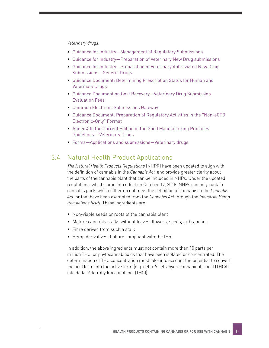*Veterinary drugs:*

- [Guidance for Industry—Management of Regulatory Submissions](https://www.canada.ca/en/health-canada/services/drugs-health-products/veterinary-drugs/legislation-guidelines/guidance-documents/management-regulatory-submissions-guidance-industry-health-canada-2009-2.html)
- [Guidance for Industry—Preparation of Veterinary New Drug submissions](https://www.canada.ca/en/health-canada/services/drugs-health-products/veterinary-drugs/legislation-guidelines/guidance-documents/guidance-industry-preparation-veterinary-new-drug-submissions-health-canada-2007.html)
- [Guidance for Industry—Preparation of Veterinary Abbreviated New Drug](https://www.canada.ca/en/health-canada/services/drugs-health-products/veterinary-drugs/legislation-guidelines/guidance-documents/guidance-industry-preparation-veterinary-abbreviated-new-drug-submissions-generic-drugs-health-canada-2009-1.html)  [Submissions—Generic Drugs](https://www.canada.ca/en/health-canada/services/drugs-health-products/veterinary-drugs/legislation-guidelines/guidance-documents/guidance-industry-preparation-veterinary-abbreviated-new-drug-submissions-generic-drugs-health-canada-2009-1.html)
- [Guidance Document: Determining Prescription Status for Human and](https://www.canada.ca/en/health-canada/services/drugs-health-products/drug-products/prescription-drug-list/guidance-document.html)  [Veterinary Drugs](https://www.canada.ca/en/health-canada/services/drugs-health-products/drug-products/prescription-drug-list/guidance-document.html)
- [Guidance Document on Cost Recovery—Veterinary Drug Submission](https://www.canada.ca/en/health-canada/services/drugs-health-products/veterinary-drugs/legislation-guidelines/guidance-documents/guidance-document-cost-recovery-veterinary-drug-submission-evaluation-fees-health-canada-2002.html)  [Evaluation Fees](https://www.canada.ca/en/health-canada/services/drugs-health-products/veterinary-drugs/legislation-guidelines/guidance-documents/guidance-document-cost-recovery-veterinary-drug-submission-evaluation-fees-health-canada-2002.html)
- [Common Electronic Submissions Gateway](https://www.canada.ca/en/health-canada/services/drugs-health-products/drug-products/applications-submissions/guidance-documents/common-electronic-submissions-gateway.html)
- [Guidance Document: Preparation of Regulatory Activities in the "Non-eCTD](https://www.canada.ca/en/health-canada/services/drugs-health-products/drug-products/applications-submissions/guidance-documents/common-technical-document/updated-guidance-document-preparation-regulatory-activities-non-ectd-electronic-only-format.html)  [Electronic-Only" Format](https://www.canada.ca/en/health-canada/services/drugs-health-products/drug-products/applications-submissions/guidance-documents/common-technical-document/updated-guidance-document-preparation-regulatory-activities-non-ectd-electronic-only-format.html)
- [Annex 4 to the Current Edition of the Good Manufacturing Practices](https://www.canada.ca/en/health-canada/services/drugs-health-products/compliance-enforcement/good-manufacturing-practices/guidance-documents/annex-4-current-edition-guidelines-veterinary-drugs-0012.html)  [Guidelines —Veterinary Drugs](https://www.canada.ca/en/health-canada/services/drugs-health-products/compliance-enforcement/good-manufacturing-practices/guidance-documents/annex-4-current-edition-guidelines-veterinary-drugs-0012.html)
- [Forms—Applications and submissions—Veterinary drugs](https://www.canada.ca/en/health-canada/services/drugs-health-products/veterinary-drugs/applications-submissions/forms.html)

### 3.4 Natural Health Product Applications

*The Natural Health Products Regulations* (NHPR) have been updated to align with the definition of cannabis in the *Cannabis Act,* and provide greater clarity about the parts of the cannabis plant that can be included in NHPs. Under the updated regulations, which come into effect on October 17, 2018, NHPs can only contain cannabis parts which either do not meet the definition of cannabis in the *Cannabis Act*, or that have been exempted from the *Cannabis Act* through the *Industrial Hemp Regulations (IHR).* These ingredients are:

- Non-viable seeds or roots of the cannabis plant
- Mature cannabis stalks without leaves, flowers, seeds, or branches
- Fibre derived from such a stalk
- Hemp derivatives that are compliant with the IHR.

In addition, the above ingredients must not contain more than 10 parts per million THC, or phytocannabinoids that have been isolated or concentrated. The determination of THC concentration must take into account the potential to convert the acid form into the active form (e.g. delta-9-tetrahydrocannabinolic acid (THCA) into delta-9-tetrahydrocannabinol (THC)).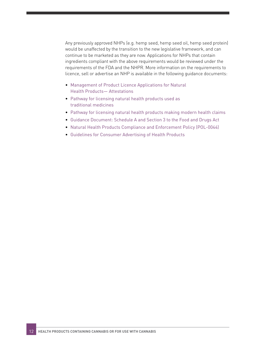Any previously approved NHPs (e.g. hemp seed, hemp seed oil, hemp seed protein) would be unaffected by the transition to the new legislative framework, and can continue to be marketed as they are now. Applications for NHPs that contain ingredients compliant with the above requirements would be reviewed under the requirements of the FDA and the NHPR. More information on the requirements to licence, sell or advertise an NHP is available in the following guidance documents:

- [Management of Product Licence Applications for Natural](http://www.hc-sc.gc.ca/dhp-mps/prodnatur/legislation/docs/attestations-eng.php)  [Health Products— Attestations](http://www.hc-sc.gc.ca/dhp-mps/prodnatur/legislation/docs/attestations-eng.php)
- [Pathway for licensing natural health products used as](https://www.canada.ca/en/health-canada/services/drugs-health-products/natural-non-prescription/legislation-guidelines/guidance-documents/pathway-licensing-traditional-medicines.html)  [traditional medicines](https://www.canada.ca/en/health-canada/services/drugs-health-products/natural-non-prescription/legislation-guidelines/guidance-documents/pathway-licensing-traditional-medicines.html)
- [Pathway for licensing natural health products making modern health claims](https://www.canada.ca/en/health-canada/services/drugs-health-products/natural-non-prescription/legislation-guidelines/guidance-documents/pathway-licensing-making-modern-health-claims.html)
- [Guidance Document: Schedule A and Section 3 to the Food and Drugs Act](https://www.canada.ca/en/health-canada/services/drugs-health-products/drug-products/applications-submissions/guidance-documents/guidance-document-schedule-section-3-food-drugs-act.html)
- [Natural Health Products Compliance and Enforcement Policy \(POL-0044\)](https://www.canada.ca/en/health-canada/services/drugs-health-products/compliance-enforcement/information-health-product/natural-health-products/health-products-food-branch-inspectorate-policy-0044.html)
- [Guidelines for Consumer Advertising of Health Products](http://www.adstandards.com/en/Clearance/consumerDrugs/Consumer-Advertising-Guidelines-for-Marketed-Health-Products-EN.pdf)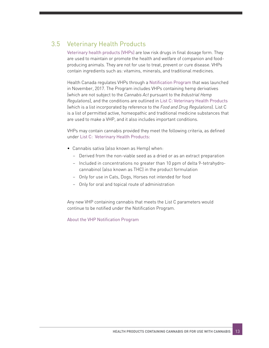### 3.5 Veterinary Health Products

[Veterinary health products \(VHPs\)](https://www.canada.ca/en/public-health/services/antibiotic-antimicrobial-resistance/animals/veterinary-health-products.html) are low risk drugs in final dosage form. They are used to maintain or promote the health and welfare of companion and foodproducing animals. They are not for use to treat, prevent or cure disease. VHPs contain ingredients such as: vitamins, minerals, and traditional medicines.

Health Canada regulates VHPs through a [Notification Program](https://health-products.canada.ca/vhp-psa/en/home) that was launched in November, 2017. The Program includes VHPs containing hemp derivatives (which are not subject to the *Cannabis Act* pursuant to the *Industrial Hemp Regulations*), and the conditions are outlined in [List C: Veterinary Health Products](https://www.canada.ca/en/public-health/services/antibiotic-antimicrobial-resistance/animals/veterinary-health-products/list-c.html) (which is a list incorporated by reference to the *Food and Drug Regulations*). List C is a list of permitted active, homeopathic and traditional medicine substances that are used to make a VHP, and it also includes important conditions.

VHPs may contain cannabis provided they meet the following criteria, as defined under [List C: Veterinary Health Products:](https://www.canada.ca/en/public-health/services/antibiotic-antimicrobial-resistance/animals/veterinary-health-products/list-c.html)

- Cannabis sativa (also known as Hemp) when:
	- − Derived from the non-viable seed as a dried or as an extract preparation
	- − Included in concentrations no greater than 10 ppm of delta 9-tetrahydrocannabinol (also known as THC) in the product formulation
	- − Only for use in Cats, Dogs, Horses not intended for food
	- − Only for oral and topical route of administration

Any new VHP containing cannabis that meets the List C parameters would continue to be notified under the Notification Program.

[About the VHP Notification Program](https://health-products.canada.ca/vhp-psa/en/about/1 
)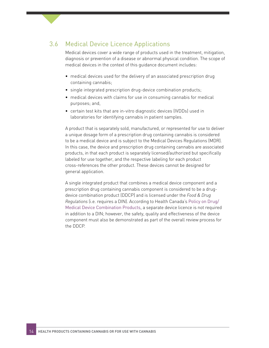### 3.6 Medical Device Licence Applications

Medical devices cover a wide range of products used in the treatment, mitigation, diagnosis or prevention of a disease or abnormal physical condition. The scope of medical devices in the context of this guidance document includes:

- medical devices used for the delivery of an associated prescription drug containing cannabis;
- single integrated prescription drug-device combination products;
- medical devices with claims for use in consuming cannabis for medical purposes; and,
- certain test kits that are in-vitro diagnostic devices (IVDDs) used in laboratories for identifying cannabis in patient samples.

A product that is separately sold, manufactured, or represented for use to deliver a unique dosage form of a prescription drug containing cannabis is considered to be a medical device and is subject to the Medical Devices Regulations (MDR). In this case, the device and prescription drug containing cannabis are associated products, in that each product is separately licensed/authorized but specifically labeled for use together, and the respective labeling for each product cross-references the other product. These devices cannot be designed for general application.

A single integrated product that combines a medical device component and a prescription drug containing cannabis component is considered to be a drugdevice combination product (DDCP) and is licensed under the *Food & Drug Regulations* (i.e. requires a DIN). According to Health Canada's [Policy on Drug/](https://www.canada.ca/en/health-canada/services/drugs-health-products/drug-products/applications-submissions/policies/drug-medical-device-combination-products.html) [Medical Device Combination Products](https://www.canada.ca/en/health-canada/services/drugs-health-products/drug-products/applications-submissions/policies/drug-medical-device-combination-products.html), a separate device licence is not required in addition to a DIN; however, the safety, quality and effectiveness of the device component must also be demonstrated as part of the overall review process for the DDCP.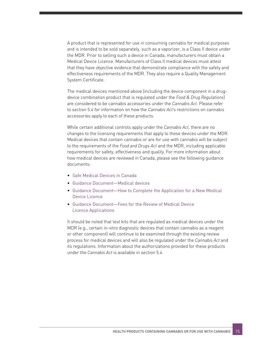A product that is represented for use in consuming cannabis for medical purposes and is intended to be sold separately, such as a vaporizer, is a Class II device under the MDR. Prior to selling such a device in Canada, manufacturers must obtain a Medical Device Licence. Manufacturers of Class II medical devices must attest that they have objective evidence that demonstrate compliance with the safety and effectiveness requirements of the MDR. They also require a Quality Management System Certificate.

The medical devices mentioned above (including the device component in a drugdevice combination product that is regulated under the *Food & Drug Regulations*) are considered to be cannabis accessories under the *Cannabis Act*. Please refer to section 5.4 for information on how the *Cannabis Act*'s restrictions on cannabis accessories apply to each of these products.

While certain additional controls apply under the *Cannabis Act*, there are no changes to the licensing requirements that apply to these devices under the MDR. Medical devices that contain cannabis or are for use with cannabis will be subject to the requirements of the *Food and Drugs Act* and the MDR, including applicable requirements for safety, effectiveness and quality. For more information about how medical devices are reviewed in Canada, please see the following guidance documents:

- [Safe Medical Devices in Canada](https://www.canada.ca/en/health-canada/services/drugs-health-products/medical-devices/activities/fact-sheets/safe-medical-devices-fact-sheet.html)
- [Guidance Document—Medical devices](https://www.canada.ca/en/health-canada/services/drugs-health-products/medical-devices/application-information/guidance-documents.html)
- [Guidance Document—How to Complete the Application for a New Medical](https://www.canada.ca/en/health-canada/services/drugs-health-products/medical-devices/application-information/guidance-documents/guidance-document-complete-application-new-medical-device-licence.html)  [Device Licence](https://www.canada.ca/en/health-canada/services/drugs-health-products/medical-devices/application-information/guidance-documents/guidance-document-complete-application-new-medical-device-licence.html)
- [Guidance Document—Fees for the Review of Medical Device](https://www.canada.ca/en/health-canada/services/drugs-health-products/medical-devices/application-information/guidance-documents/guidance-document-fees-review-medical-device-licence-applications.html)  [Licence Applications](https://www.canada.ca/en/health-canada/services/drugs-health-products/medical-devices/application-information/guidance-documents/guidance-document-fees-review-medical-device-licence-applications.html)

It should be noted that test kits that are regulated as medical devices under the MDR (e.g., certain in-vitro diagnostic devices that contain cannabis as a reagent or other component) will continue to be examined through the existing review process for medical devices and will also be regulated under the *Cannabis Act* and its regulations. Information about the authorizations provided for these products under the *Cannabis Act* is available in section 5.4.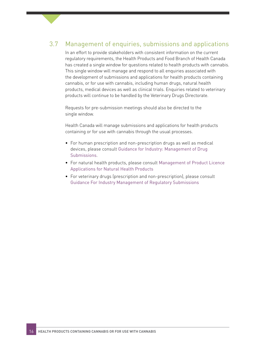### 3.7 Management of enquiries, submissions and applications

In an effort to provide stakeholders with consistent information on the current regulatory requirements, the Health Products and Food Branch of Health Canada has created a single window for questions related to health products with cannabis. This single window will manage and respond to all enquiries associated with the development of submissions and applications for health products containing cannabis, or for use with cannabis, including human drugs, natural health products, medical devices as well as clinical trials. Enquiries related to veterinary products will continue to be handled by the Veterinary Drugs Directorate.

Requests for pre-submission meetings should also be directed to the single window.

Health Canada will manage submissions and applications for health products containing or for use with cannabis through the usual processes.

- For human prescription and non-prescription drugs as well as medical devices, please consult [Guidance for Industry: Management of Drug](https://www.canada.ca/en/health-canada/services/drugs-health-products/drug-products/applications-submissions/guidance-documents/management-drug-submissions/industry.html)  [Submissions](https://www.canada.ca/en/health-canada/services/drugs-health-products/drug-products/applications-submissions/guidance-documents/management-drug-submissions/industry.html).
- For natural health products, please consult [Management of Product Licence](https://www.canada.ca/en/health-canada/services/drugs-health-products/natural-non-prescription/legislation-guidelines/policies/management-product-licence-applications.html)  [Applications for Natural Health Products](https://www.canada.ca/en/health-canada/services/drugs-health-products/natural-non-prescription/legislation-guidelines/policies/management-product-licence-applications.html)
- For veterinary drugs (prescription and non-prescription), please consult [Guidance For Industry Management of Regulatory Submissions](https://www.canada.ca/en/health-canada/services/drugs-health-products/veterinary-drugs/legislation-guidelines/guidance-documents/management-regulatory-submissions-guidance-industry-health-canada-2009-2.html)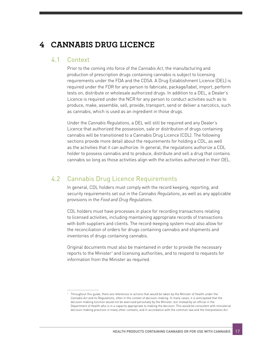# **4 CANNABIS DRUG LICENCE**

#### 4.1 Context

Prior to the coming into force of the *Cannabis Act*, the manufacturing and production of prescription drugs containing cannabis is subject to licensing requirements under the FDA and the CDSA. A Drug Establishment Licence (DEL) is required under the FDR for any person to fabricate, package/label, import, perform tests on, distribute or wholesale authorized drugs. In addition to a DEL, a Dealer's Licence is required under the NCR for any person to conduct activities such as to produce, make, assemble, sell, provide, transport, send or deliver a narcotics, such as cannabis, which is used as an ingredient in those drugs.

Under the *Cannabis Regulations*, a DEL will still be required and any Dealer's Licence that authorized the possession, sale or distribution of drugs containing cannabis will be transitioned to a Cannabis Drug Licence (CDL). The following sections provide more detail about the requirements for holding a CDL, as well as the activities that it can authorize. In general, the regulations authorize a CDL holder to possess cannabis and to produce, distribute and sell a drug that contains cannabis so long as those activities align with the activities authorized in their DEL.

### 4.2 Cannabis Drug Licence Requirements

In general, CDL holders must comply with the record keeping, reporting, and security requirements set out in the *Cannabis Regulations*, as well as any applicable provisions in the *Food and Drug Regulations*.

CDL holders must have processes in place for recording transactions relating to licensed activities, including maintaining appropriate records of transactions with both suppliers and clients. The record-keeping system must also allow for the reconciliation of orders for drugs containing cannabis and shipments and inventories of drugs containing cannabis.

Original documents must also be maintained in order to provide the necessary reports to the Minister<sup>1</sup> and licensing authorities, and to respond to requests for information from the Minister as required.

<sup>&</sup>lt;sup>1</sup> Throughout this guide, there are references to actions that would be taken by the Minister of Health under the *Cannabis Act* and its Regulations, often in the context of decision-making. In many cases, it is anticipated that the decision-making function would not be exercised personally by the Minister, but instead by an official in the Department of Health who is in a capacity appropriate to making the decision. This would be consistent with ministerial decision-making practices in many other contexts, and in accordance with the common law and the *Interpretation Act*.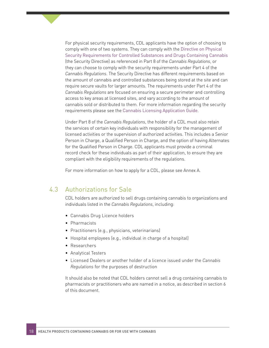For physical security requirements, CDL applicants have the option of choosing to comply with one of two systems. They can comply with the [Directive on Physical](https://canada-preview.adobecqms.net/en/health-canada/services/drugs-medication/cannabis/laws-regulations/regulations-support-cannabis-act/directive-physical-security-requirements.html)  [Security Requirements for Controlled Substances and Drugs Containing Cannabis](https://canada-preview.adobecqms.net/en/health-canada/services/drugs-medication/cannabis/laws-regulations/regulations-support-cannabis-act/directive-physical-security-requirements.html) (the Security Directive) as referenced in Part 8 of the *Cannabis Regulations*, or they can choose to comply with the security requirements under Part 4 of the *Cannabis Regulations*. The Security Directive has different requirements based on the amount of cannabis and controlled substances being stored at the site and can require secure vaults for larger amounts. The requirements under Part 4 of the *Cannabis Regulations* are focused on ensuring a secure perimeter and controlling access to key areas at licensed sites, and vary according to the amount of cannabis sold or distributed to them. For more information regarding the security requirements please see the [Cannabis Licensing Application Guide](https://www.canada.ca/en/health-canada/services/publications/drugs-health-products/cannabis-licensing-guide.html).

Under Part 8 of the *Cannabis Regulations*, the holder of a CDL must also retain the services of certain key individuals with responsibility for the management of licensed activities or the supervision of authorized activities. This includes a Senior Person in Charge, a Qualified Person in Charge, and the option of having Alternates for the Qualified Person in Charge. CDL applicants must provide a criminal record check for these individuals as part of their application, to ensure they are compliant with the eligibility requirements of the regulations.

For more information on how to apply for a CDL, please see Annex A.

#### 4.3 Authorizations for Sale

CDL holders are authorized to sell drugs containing cannabis to organizations and individuals listed in the *Cannabis Regulations*, including:

- Cannabis Drug Licence holders
- Pharmacists
- Practitioners (e.g., physicians, veterinarians)
- Hospital employees (e.g., individual in charge of a hospital)
- Researchers
- Analytical Testers
- Licensed Dealers or another holder of a licence issued under the *Cannabis Regulations* for the purposes of destruction

It should also be noted that CDL holders cannot sell a drug containing cannabis to pharmacists or practitioners who are named in a notice, as described in section 6 of this document.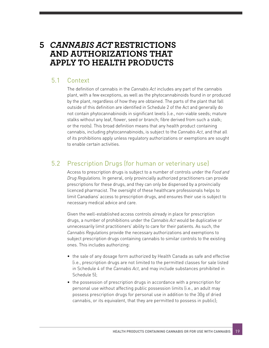# **5** *CANNABIS ACT* **RESTRICTIONS AND AUTHORIZATIONS THAT APPLY TO HEALTH PRODUCTS**

### 5.1 Context

The definition of cannabis in the *Cannabis Act* includes any part of the cannabis plant, with a few exceptions, as well as the phytocannabinoids found in or produced by the plant, regardless of how they are obtained. The parts of the plant that fall outside of this definition are identified in Schedule 2 of the Act and generally do not contain phytocannabinoids in significant levels (i.e., non-viable seeds; mature stalks without any leaf, flower, seed or branch; fibre derived from such a stalk; or the roots). This broad definition means that any health product containing cannabis, including phytocannabinoids, is subject to the *Cannabis Act*, and that all of its prohibitions apply unless regulatory authorizations or exemptions are sought to enable certain activities.

### 5.2 Prescription Drugs (for human or veterinary use)

Access to prescription drugs is subject to a number of controls under the *Food and Drug Regulations*. In general, only provincially authorized practitioners can provide prescriptions for these drugs, and they can only be dispensed by a provincially licenced pharmacist. The oversight of these healthcare professionals helps to limit Canadians' access to prescription drugs, and ensures their use is subject to necessary medical advice and care.

Given the well-established access controls already in place for prescription drugs, a number of prohibitions under the *Cannabis Act* would be duplicative or unnecessarily limit practitioners' ability to care for their patients. As such, the *Cannabis Regulations* provide the necessary authorizations and exemptions to subject prescription drugs containing cannabis to similar controls to the existing ones. This includes authorizing:

- the sale of any dosage form authorized by Health Canada as safe and effective (i.e., prescription drugs are not limited to the permitted classes for sale listed in Schedule 4 of the *Cannabis Act*, and may include substances prohibited in Schedule 5);
- the possession of prescription drugs in accordance with a prescription for personal use without affecting public possession limits (i.e., an adult may possess prescription drugs for personal use in addition to the 30g of dried cannabis, or its equivalent, that they are permitted to possess in public);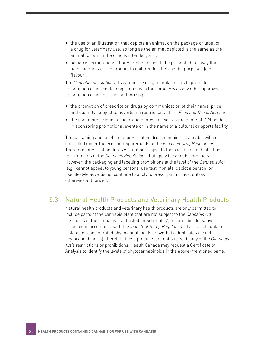- the use of an illustration that depicts an animal on the package or label of a drug for veterinary use, so long as the animal depicted is the same as the animal for which the drug is intended; and,
- pediatric formulations of prescription drugs to be presented in a way that helps administer the product to children for therapeutic purposes (e.g., flavour).

The *Cannabis Regulations* also authorize drug manufacturers to promote prescription drugs containing cannabis in the same way as any other approved prescription drug, including authorizing:

- the promotion of prescription drugs by communication of their name, price and quantity, subject to advertising restrictions of the *Food and Drugs Act*; and,
- the use of prescription drug brand names, as well as the name of DIN holders, in sponsoring promotional events or in the name of a cultural or sports facility.

The packaging and labelling of prescription drugs containing cannabis will be controlled under the existing requirements of the *Food and Drug Regulations*. Therefore, prescription drugs will not be subject to the packaging and labelling requirements of the *Cannabis Regulations* that apply to cannabis products. However, the packaging and labelling prohibitions at the level of the *Cannabis Act* (e.g., cannot appeal to young persons, use testimonials, depict a person, or use lifestyle advertising) continue to apply to prescription drugs, unless otherwise authorized.

### 5.3 Natural Health Products and Veterinary Health Products

Natural health products and veterinary health products are only permitted to include parts of the cannabis plant that are not subject to the *Cannabis Act*  (i.e., parts of the cannabis plant listed on Schedule 2, or cannabis derivatives produced in accordance with the *Industrial Hemp Regulations* that do not contain isolated or concentrated phytocannabinoids or synthetic duplicates of such phytocannabinoids), therefore these products are not subject to any of the *Cannabis Act'*s restrictions or prohibitions. Health Canada may request a Certificate of Analysis to identify the levels of phytocannabinoids in the above-mentioned parts.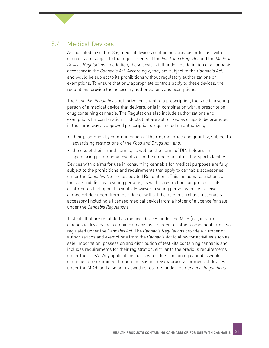### 5.4 Medical Devices

As indicated in section 3.6, medical devices containing cannabis or for use with cannabis are subject to the requirements of the *Food and Drugs Act* and the *Medical Devices Regulations*. In addition, these devices fall under the definition of a cannabis accessory in the *Cannabis Act*. Accordingly, they are subject to the *Cannabis Act*, and would be subject to its prohibitions without regulatory authorizations or exemptions. To ensure that only appropriate controls apply to these devices, the regulations provide the necessary authorizations and exemptions.

The *Cannabis Regulations* authorize, pursuant to a prescription, the sale to a young person of a medical device that delivers, or is in combination with, a prescription drug containing cannabis. The Regulations also include authorizations and exemptions for combination products that are authorized as drugs to be promoted in the same way as approved prescription drugs, including authorizing:

- their promotion by communication of their name, price and quantity, subject to advertising restrictions of the *Food and Drugs Act; and,*
- the use of their brand names, as well as the name of DIN holders, in sponsoring promotional events or in the name of a cultural or sports facility.

Devices with claims for use in consuming cannabis for medical purposes are fully subject to the prohibitions and requirements that apply to cannabis accessories under the *Cannabis Act* and associated Regulations. This includes restrictions on the sale and display to young persons, as well as restrictions on product traits or attributes that appeal to youth. However, a young person who has received a medical document from their doctor will still be able to purchase a cannabis accessory (including a licensed medical device) from a holder of a licence for sale under the *Cannabis Regulations*.

Test kits that are regulated as medical devices under the MDR (i.e., in-vitro diagnostic devices that contain cannabis as a reagent or other component) are also regulated under the *Cannabis Act*. The *Cannabis Regulations* provide a number of authorizations and exemptions from the *Cannabis Act* to allow for activities such as sale, importation, possession and distribution of test kits containing cannabis and includes requirements for their registration, similar to the previous requirements under the CDSA. Any applications for new test kits containing cannabis would continue to be examined through the existing review process for medical devices under the MDR, and also be reviewed as test kits under the *Cannabis Regulations*.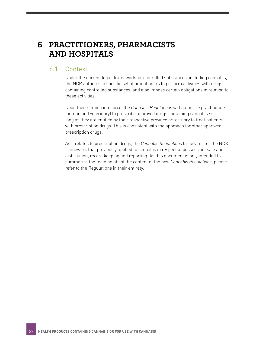### **6 PRACTITIONERS, PHARMACISTS AND HOSPITALS**

#### 6.1 Context

Under the current legal framework for controlled substances, including cannabis, the NCR authorize a specific set of practitioners to perform activities with drugs containing controlled substances, and also impose certain obligations in relation to these activities.

Upon their coming into force, the *Cannabis Regulations* will authorize practitioners (human and veterinary) to prescribe approved drugs containing cannabis so long as they are entitled by their respective province or territory to treat patients with prescription drugs. This is consistent with the approach for other approved prescription drugs.

As it relates to prescription drugs, the *Cannabis Regulations* largely mirror the NCR framework that previously applied to cannabis in respect of possession, sale and distribution, record keeping and reporting. As this document is only intended to summarize the main points of the content of the new *Cannabis Regulations*, please refer to the Regulations in their entirety.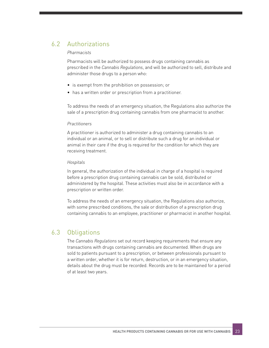### 6.2 Authorizations

#### *Pharmacists*

Pharmacists will be authorized to possess drugs containing cannabis as prescribed in the *Cannabis Regulations*, and will be authorized to sell, distribute and administer those drugs to a person who:

- is exempt from the prohibition on possession; or
- has a written order or prescription from a practitioner.

To address the needs of an emergency situation, the Regulations also authorize the sale of a prescription drug containing cannabis from one pharmacist to another.

#### *Practitioners*

A practitioner is authorized to administer a drug containing cannabis to an individual or an animal, or to sell or distribute such a drug for an individual or animal in their care if the drug is required for the condition for which they are receiving treatment.

#### *Hospitals*

In general, the authorization of the individual in charge of a hospital is required before a prescription drug containing cannabis can be sold, distributed or administered by the hospital. These activities must also be in accordance with a prescription or written order.

To address the needs of an emergency situation, the Regulations also authorize, with some prescribed conditions, the sale or distribution of a prescription drug containing cannabis to an employee, practitioner or pharmacist in another hospital.

### 6.3 Obligations

The *Cannabis Regulations* set out record keeping requirements that ensure any transactions with drugs containing cannabis are documented. When drugs are sold to patients pursuant to a prescription, or between professionals pursuant to a written order, whether it is for return, destruction, or in an emergency situation, details about the drug must be recorded. Records are to be maintained for a period of at least two years.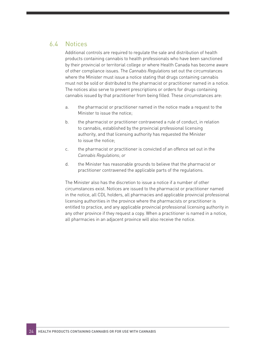### 6.4 Notices

Additional controls are required to regulate the sale and distribution of health products containing cannabis to health professionals who have been sanctioned by their provincial or territorial college or where Health Canada has become aware of other compliance issues. The *Cannabis Regulations* set out the circumstances where the Minister must issue a notice stating that drugs containing cannabis must not be sold or distributed to the pharmacist or practitioner named in a notice. The notices also serve to prevent prescriptions or orders for drugs containing cannabis issued by that practitioner from being filled. These circumstances are:

- a. the pharmacist or practitioner named in the notice made a request to the Minister to issue the notice;
- b. the pharmacist or practitioner contravened a rule of conduct, in relation to cannabis, established by the provincial professional licensing authority, and that licensing authority has requested the Minister to issue the notice;
- c. the pharmacist or practitioner is convicted of an offence set out in the *Cannabis Regulations*; *or*
- d. the Minister has reasonable grounds to believe that the pharmacist or practitioner contravened the applicable parts of the regulations.

The Minister also has the discretion to issue a notice if a number of other circumstances exist. Notices are issued to the pharmacist or practitioner named in the notice, all CDL holders, all pharmacies and applicable provincial professional licensing authorities in the province where the pharmacists or practitioner is entitled to practice, and any applicable provincial professional licensing authority in any other province if they request a copy. When a practitioner is named in a notice, all pharmacies in an adjacent province will also receive the notice.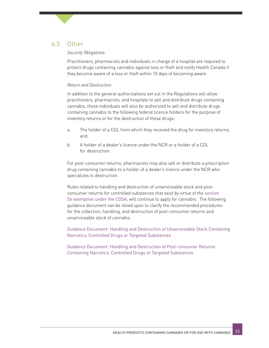### 6.5 Other

#### *Security Obligations*

Practitioners, pharmacists and individuals in charge of a hospital are required to protect drugs containing cannabis against loss or theft and notify Health Canada if they become aware of a loss or theft within 10 days of becoming aware.

#### *Return and Destruction*

In addition to the general authorizations set out in the Regulations will allow practitioners, pharmacists, and hospitals to sell and distribute drugs containing cannabis, those individuals will also be authorized to sell and distribute drugs containing cannabis to the following federal licence holders for the purpose of inventory returns or for the destruction of those drugs:

- a. The holder of a CDL from which they received the drug for inventory returns; and,
- b. A holder of a dealer's licence under the NCR or a holder of a CDL for destruction.

For post-consumer returns, pharmacists may also sell or distribute a prescription drug containing cannabis to a holder of a dealer's licence under the NCR who specializes in destruction.

Rules related to handling and destruction of unserviceable stock and postconsumer returns for controlled substances that exist by virtue of the [section](https://www.canada.ca/en/health-canada/services/health-concerns/controlled-substances-precursor-chemicals/policy-regulations/policy-documents/section-56-class-exemption-pharmacists-sale-provision-narcotics-to-licensed-dealers-for-destruction.html)  [56 exemption under the CDSA](https://www.canada.ca/en/health-canada/services/health-concerns/controlled-substances-precursor-chemicals/policy-regulations/policy-documents/section-56-class-exemption-pharmacists-sale-provision-narcotics-to-licensed-dealers-for-destruction.html), will continue to apply for cannabis. The following guidance document can be relied upon to clarify the recommended procedures for the collection, handling, and destruction of post-consumer returns and unserviceable stock of cannabis.

[Guidance Document: Handling and Destruction of Unserviceable Stock Containing](https://www.canada.ca/en/health-canada/services/health-concerns/controlled-substances-precursor-chemicals/controlled-substances/compliance-monitoring/compliance-monitoring-controlled-substances/unserviceable-stock.html)  [Narcotics, Controlled Drugs or Targeted Substances](https://www.canada.ca/en/health-canada/services/health-concerns/controlled-substances-precursor-chemicals/controlled-substances/compliance-monitoring/compliance-monitoring-controlled-substances/unserviceable-stock.html)

[Guidance Document: Handling and Destruction of Post-consumer Returns](https://www.canada.ca/en/health-canada/services/health-concerns/controlled-substances-precursor-chemicals/controlled-substances/compliance-monitoring/compliance-monitoring-controlled-substances/post-consumer-returns.html)  [Containing Narcotics, Controlled Drugs or Targeted Substances](https://www.canada.ca/en/health-canada/services/health-concerns/controlled-substances-precursor-chemicals/controlled-substances/compliance-monitoring/compliance-monitoring-controlled-substances/post-consumer-returns.html)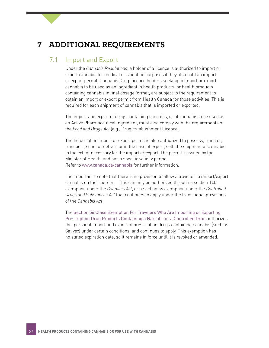### **7 ADDITIONAL REQUIREMENTS**

### 7.1 Import and Export

Under the *Cannabis Regulations*, a holder of a licence is authorized to import or export cannabis for medical or scientific purposes if they also hold an import or export permit. Cannabis Drug Licence holders seeking to import or export cannabis to be used as an ingredient in health products, or health products containing cannabis in final dosage format, are subject to the requirement to obtain an import or export permit from Health Canada for those activities. This is required for each shipment of cannabis that is imported or exported.

The import and export of drugs containing cannabis, or of cannabis to be used as an Active Pharmaceutical Ingredient, must also comply with the requirements of the *Food and Drugs Act* (e.g., Drug Establishment Licence).

The holder of an import or export permit is also authorized to possess, transfer, transport, send, or deliver, or in the case of export, sell, the shipment of cannabis to the extent necessary for the import or export. The permit is issued by the Minister of Health, and has a specific validity period. Refer to [www.canada.ca/cannabis](http://www.canada.ca/cannabis) for further information.

It is important to note that there is no provision to allow a traveller to import/export cannabis on their person. This can only be authorized through a section 140 exemption under the *Cannabis Act*, or a section 56 exemption under the *Controlled Drugs and Substances Act* that continues to apply under the transitional provisions of the *Cannabis Act*.

The [Section 56 Class Exemption For Travelers Who Are Importing or Exporting](https://www.canada.ca/en/health-canada/services/health-concerns/controlled-substances-precursor-chemicals/policy-regulations/policy-documents/section-56-class-exemption-travellers-who-importing-exporting-prescription-drug-products-containing-narcotic-controlled-drug.html)  [Prescription Drug Products Containing a Narcotic or a Controlled Drug](https://www.canada.ca/en/health-canada/services/health-concerns/controlled-substances-precursor-chemicals/policy-regulations/policy-documents/section-56-class-exemption-travellers-who-importing-exporting-prescription-drug-products-containing-narcotic-controlled-drug.html) authorizes the personal import and export of prescription drugs containing cannabis (such as Sativex) under certain conditions, and continues to apply. This exemption has no stated expiration date, so it remains in force until it is revoked or amended.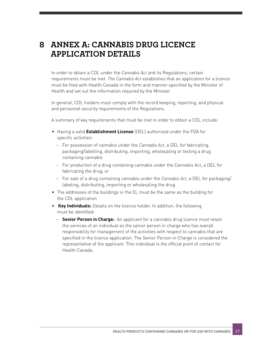# **8 ANNEX A: CANNABIS DRUG LICENCE APPLICATION DETAILS**

In order to obtain a CDL under the *Cannabis Act* and its Regulations, certain requirements must be met. *The Cannabis Act* establishes that an application for a licence must be filed with Health Canada in the form and manner specified by the Minister of Health and set out the information required by the Minister.

In general, CDL holders must comply with the record keeping, reporting, and physical and personnel security requirements of the Regulations.

A summary of key requirements that must be met in order to obtain a CDL include:

- Having a valid **Establishment License** (DEL) authorized under the FDA for specific activities:
	- − For possession of cannabis under the *Cannabis Act*, a DEL for fabricating, packaging/labelling, distributing, importing, wholesaling or testing a drug containing cannabis
	- − For production of a drug containing cannabis under the Cannabis Act, a DEL for fabricating the drug, or
	- − For sale of a drug containing cannabis under the *Cannabis Act*, a DEL for packaging/ labeling, distributing, importing or wholesaling the drug
- The addresses of the buildings in the EL must be the same as the building for the CDL application
- • **Key Individuals:** Details on the licence holder. In addition, the following must be identified:
	- − **Senior Person in Charge:** An applicant for a cannabis drug licence must retain the services of an individual as the senior person in charge who has overall responsibility for management of the activities with respect to cannabis that are specified in the licence application. The Senior Person in Charge is considered the representative of the applicant. This individual is the official point of contact for Health Canada.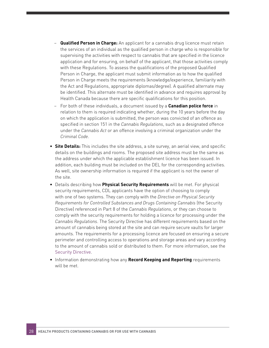- **Qualified Person in Charge:** An applicant for a cannabis drug licence must retain the services of an individual as the qualified person in charge who is responsible for supervising the activities with respect to cannabis that are specified in the licence application and for ensuring, on behalf of the applicant, that those activities comply with these Regulations. To assess the qualifications of the proposed Qualified Person in Charge, the applicant must submit information as to how the qualified Person in Charge meets the requirements (knowledge/experience, familiarity with the Act and Regulations, appropriate diplomas/degree). A qualified alternate may be identified. This alternate must be identified in advance and requires approval by Health Canada because there are specific qualifications for this position.
- − For both of these individuals, a document issued by a **Canadian police force** in relation to them is required indicating whether, during the 10 years before the day on which the application is submitted, the person was convicted of an offence as specified in section 151 in the *Cannabis Regulations*, such as a designated offence under the *Cannabis Act* or an offence involving a criminal organization under the *Criminal Code*.
- **Site Details:** This includes the site address, a site survey, an aerial view, and specific details on the buildings and rooms. The proposed site address must be the same as the address under which the applicable establishment licence has been issued. In addition, each building must be included on the DEL for the corresponding activities. As well, site ownership information is required if the applicant is not the owner of the site.
- Details describing how **Physical Security Requirements** will be met. For physical security requirements, CDL applicants have the option of choosing to comply with one of two systems. They can comply with the *Directive on Physical Security Requirements for Controlled Substances and Drugs Containing Cannabis* (the Security Directive) referenced in Part 8 of the *Cannabis Regulations*, or they can choose to comply with the security requirements for holding a licence for processing under the *Cannabis Regulations*. The Security Directive has different requirements based on the amount of cannabis being stored at the site and can require secure vaults for larger amounts. The requirements for a processing licence are focused on ensuring a secure perimeter and controlling access to operations and storage areas and vary according to the amount of cannabis sold or distributed to them. For more information, see the [Security Directive](https://www.canada.ca/en/health-canada/services/drugs-medication/cannabis/laws-regulations/regulations-support-cannabis-act/directive-physical-security-requirements.html).
- Information demonstrating how any **Record Keeping and Reporting** requirements will be met.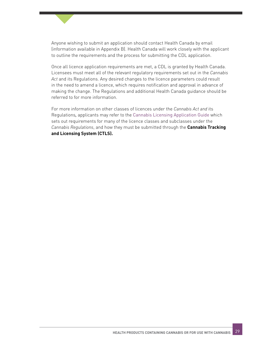

Once all licence application requirements are met, a CDL is granted by Health Canada. Licensees must meet all of the relevant regulatory requirements set out in the *Cannabis Act* and its Regulations. Any desired changes to the licence parameters could result in the need to amend a licence, which requires notification and approval in advance of making the change. The Regulations and additional Health Canada guidance should be referred to for more information.

For more information on other classes of licences under the *Cannabis Act and* its Regulations*,* applicants may refer to the [Cannabis Licensing Application Guide](https://www.canada.ca/en/health-canada/services/publications/drugs-health-products/cannabis-licensing-guide.html) which sets out requirements for many of the licence classes and subclasses under the *Cannabis Regulations*, and how they must be submitted through the **Cannabis Tracking and Licensing System (CTLS).**